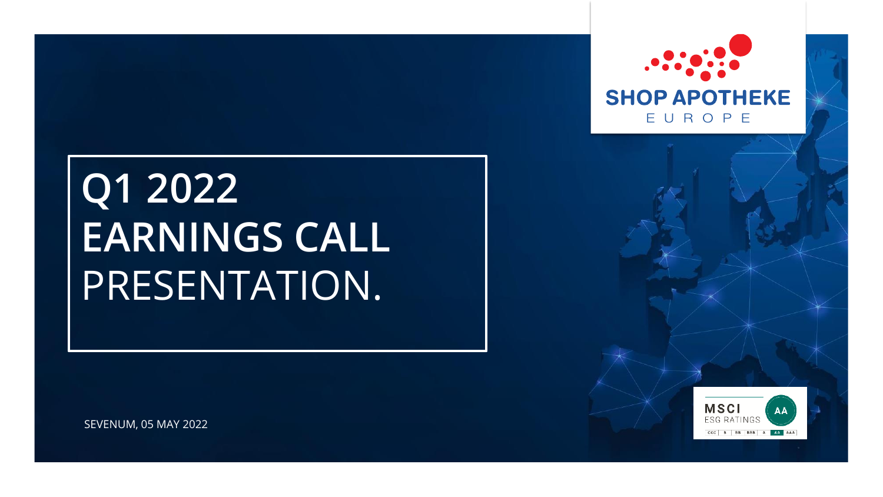





SEVENUM, 05 MAY 2022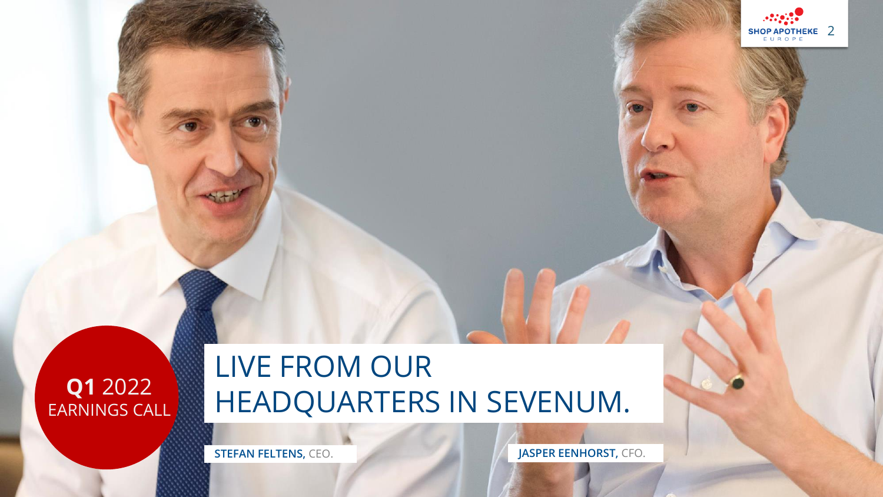

## LIVE FROM OUR HEADQUARTERS IN SEVENUM.

**STEFAN FELTENS, CEO. JASPER EENHORST, CFO.** 

SHOP APOTHEKE 2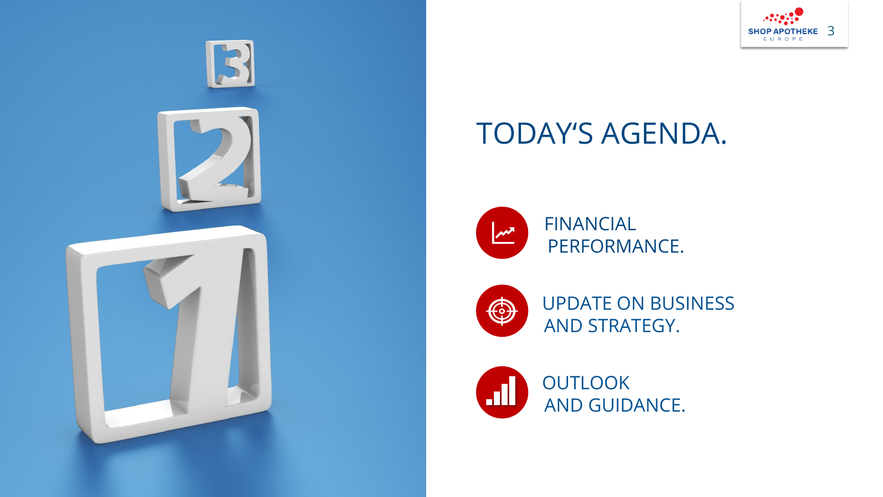



## TODAY'S AGENDA.



FINANCIAL PERFORMANCE.



UPDATE ON BUSINESS AND STRATEGY.

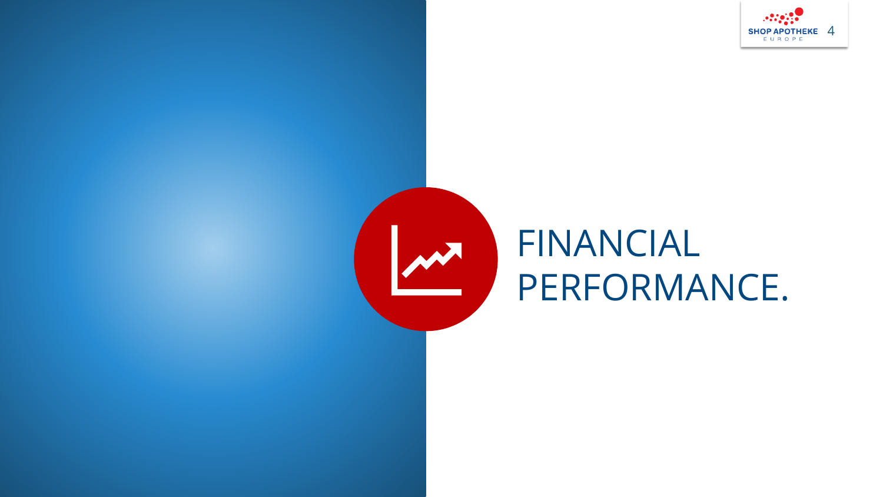



# FINANCIAL PERFORMANCE.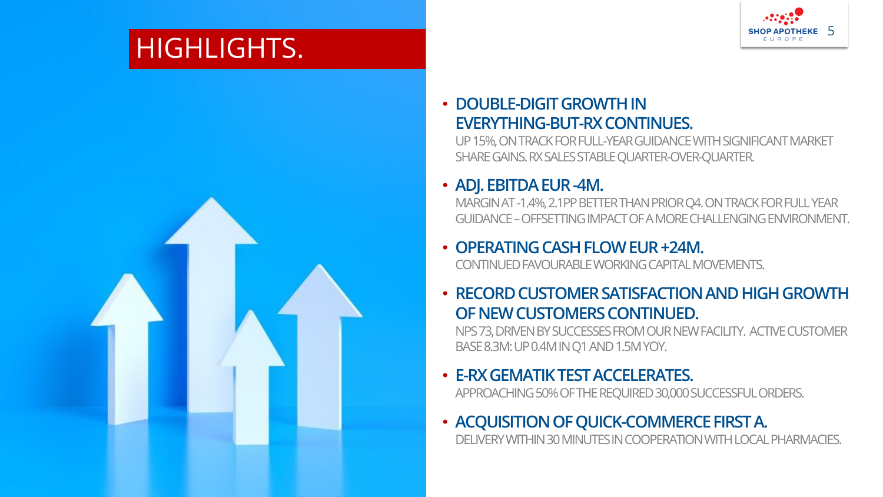## HIGHLIGHTS.

KEY FACTS

**Q2**

2022



#### • **DOUBLE-DIGIT GROWTH IN EVERYTHING-BUT-RX CONTINUES.**

UP 15%, ON TRACK FOR FULL-YEAR GUIDANCE WITH SIGNIFICANT MARKET SHARE GAINS. RX SALES STABLE QUARTER-OVER-QUARTER.

#### • **ADJ. EBITDA EUR -4M.**

MARGIN AT -1.4%, 2.1PP BETTER THAN PRIOR Q4. ON TRACK FOR FULL YEAR GUIDANCE –OFFSETTING IMPACT OF A MORE CHALLENGING ENVIRONMENT.

#### • **OPERATING CASH FLOW EUR +24M.**

CONTINUED FAVOURABLE WORKING CAPITAL MOVEMENTS.

#### • **RECORD CUSTOMER SATISFACTION AND HIGH GROWTH OF NEW CUSTOMERS CONTINUED.**

NPS 73, DRIVEN BY SUCCESSES FROM OUR NEW FACILITY. ACTIVE CUSTOMER BASE 8.3M: UP 0.4M IN Q1 AND 1.5M YOY.

#### • **E-RX GEMATIK TEST ACCELERATES.**

APPROACHING 50% OF THE REQUIRED 30,000 SUCCESSFUL ORDERS.

## • **ACQUISITION OF QUICK-COMMERCE FIRST A.**

DELIVERY WITHIN 30 MINUTES IN COOPERATION WITH LOCAL PHARMACIES.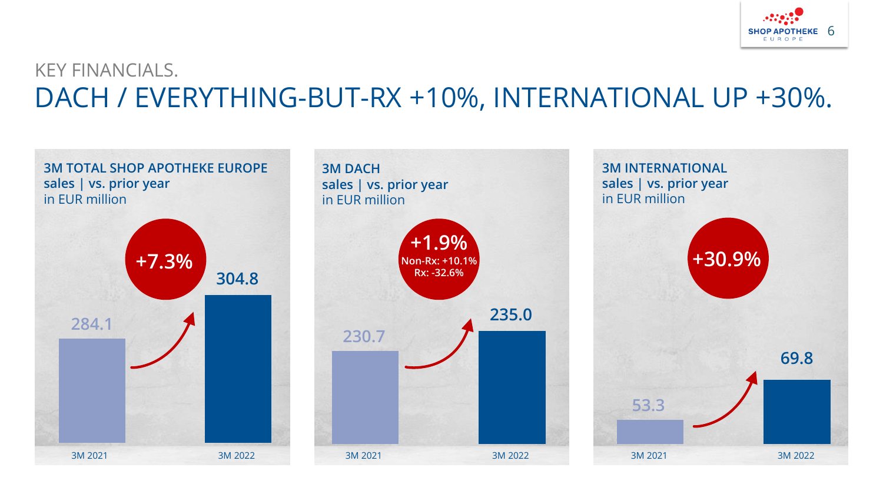

### KEY FINANCIALS. DACH / EVERYTHING-BUT-RX +10%, INTERNATIONAL UP +30%.

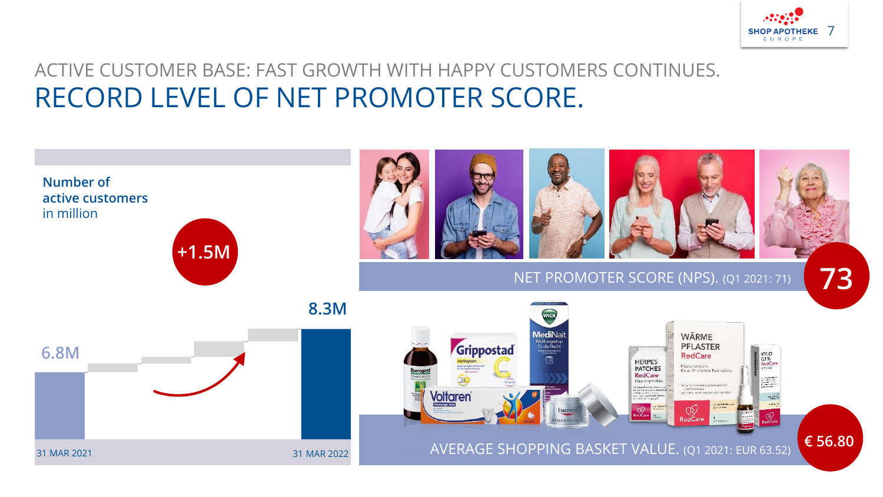

#### ACTIVE CUSTOMER BASE: FAST GROWTH WITH HAPPY CUSTOMERS CONTINUES. RECORD LEVEL OF NET PROMOTER SCORE.

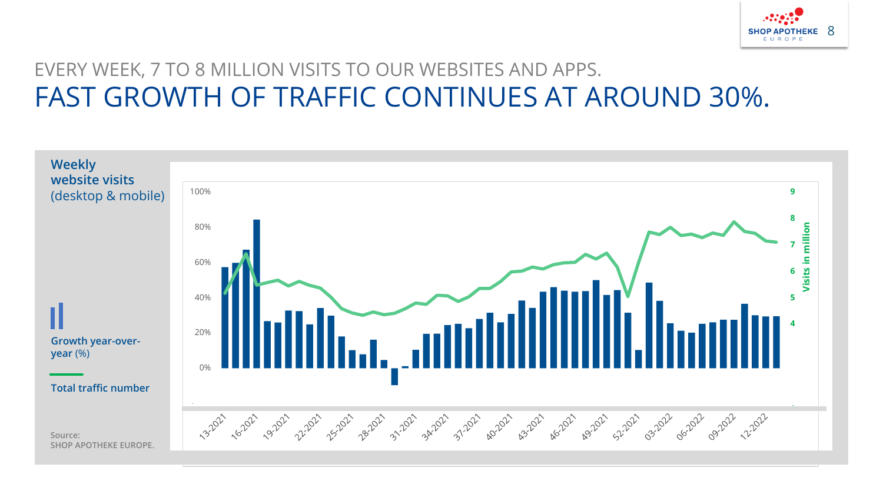

### EVERY WEEK, 7 TO 8 MILLION VISITS TO OUR WEBSITES AND APPS. FAST GROWTH OF TRAFFIC CONTINUES AT AROUND 30%.

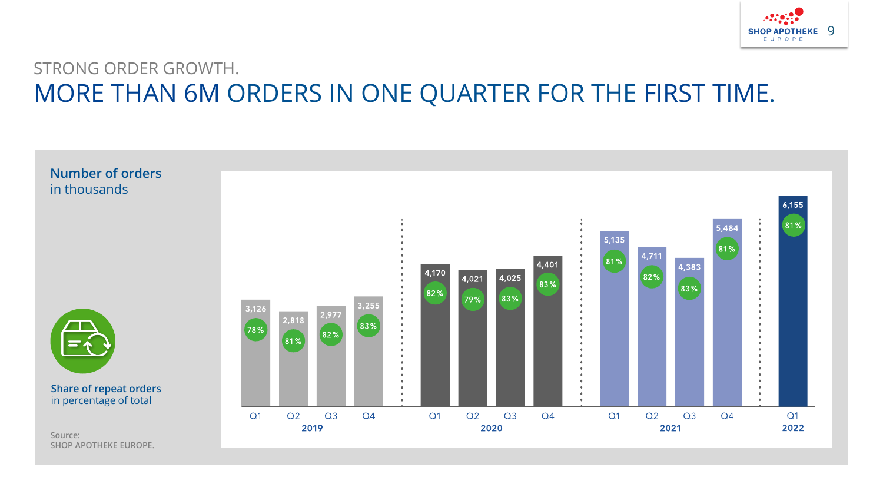

#### STRONG ORDER GROWTH. MORE THAN 6M ORDERS IN ONE QUARTER FOR THE FIRST TIME.

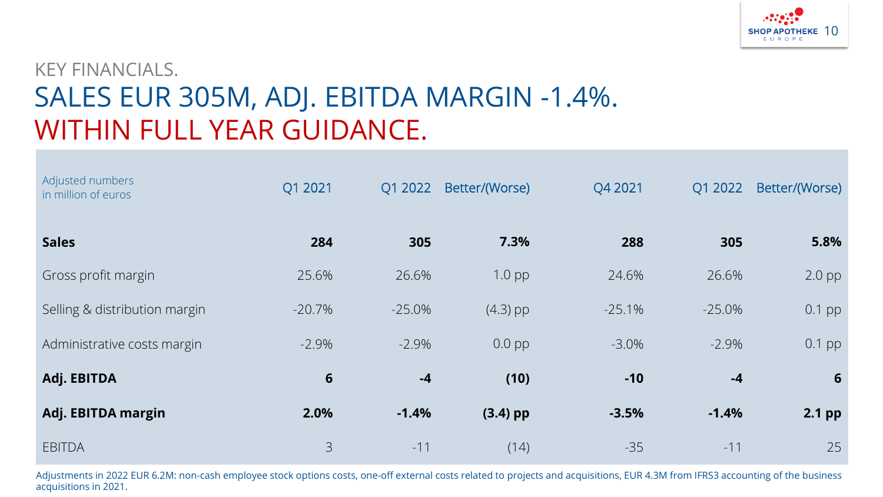

## KEY FINANCIALS. SALES EUR 305M, ADJ. EBITDA MARGIN -1.4%. WITHIN FULL YEAR GUIDANCE.

| Adjusted numbers<br>in million of euros | Q1 2021  | Q1 2022  | Better/(Worse) | Q4 2021  | Q1 2022  | Better/(Worse)  |
|-----------------------------------------|----------|----------|----------------|----------|----------|-----------------|
| <b>Sales</b>                            | 284      | 305      | 7.3%           | 288      | 305      | 5.8%            |
| Gross profit margin                     | 25.6%    | 26.6%    | $1.0$ pp       | 24.6%    | 26.6%    | $2.0$ pp        |
| Selling & distribution margin           | $-20.7%$ | $-25.0%$ | $(4.3)$ pp     | $-25.1%$ | $-25.0%$ | $0.1$ pp        |
| Administrative costs margin             | $-2.9\%$ | $-2.9%$  | $0.0$ pp       | $-3.0\%$ | $-2.9\%$ | $0.1$ pp        |
| Adj. EBITDA                             | 6        | $-4$     | (10)           | $-10$    | $-4$     | $6\phantom{1}6$ |
| Adj. EBITDA margin                      | 2.0%     | $-1.4%$  | $(3.4)$ pp     | $-3.5%$  | $-1.4%$  | 2.1 pp          |
| <b>EBITDA</b>                           | 3        | $-11$    | (14)           | $-35$    | $-11$    | 25              |

Adjustments in 2022 EUR 6.2M: non-cash employee stock options costs, one-off external costs related to projects and acquisitions, EUR 4.3M from IFRS3 accounting of the business acquisitions in 2021.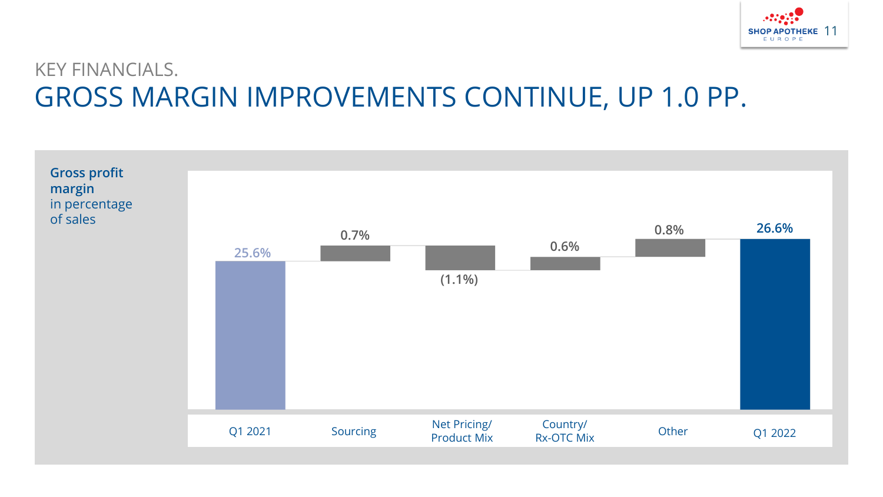

## KEY FINANCIALS. GROSS MARGIN IMPROVEMENTS CONTINUE, UP 1.0 PP.

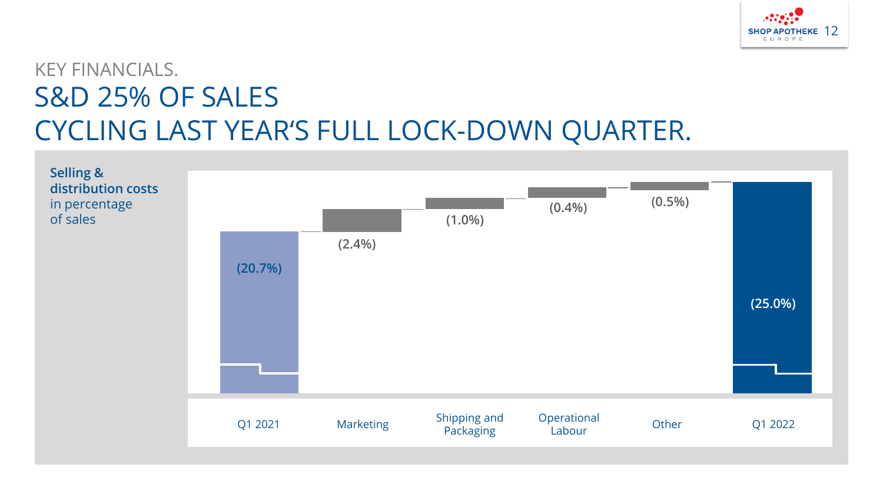

## KEY FINANCIALS. S&D 25% OF SALES CYCLING LAST YEAR'S FULL LOCK-DOWN QUARTER.

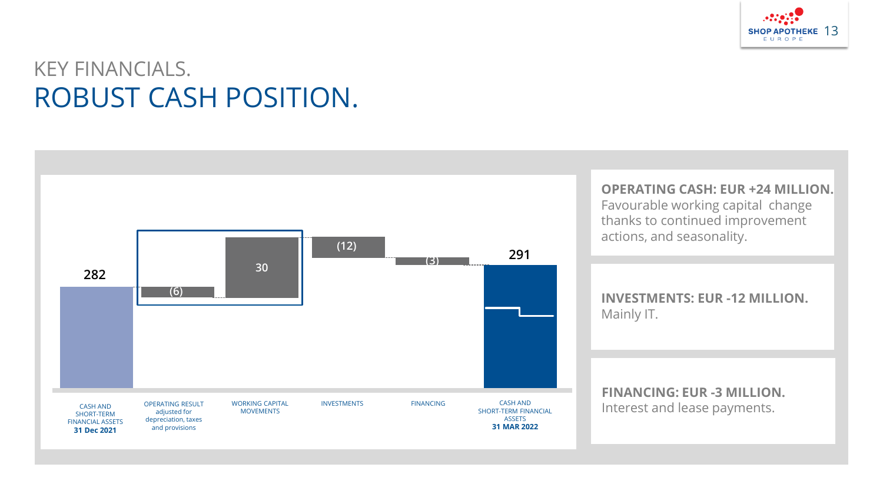

## KEY FINANCIALS. ROBUST CASH POSITION.

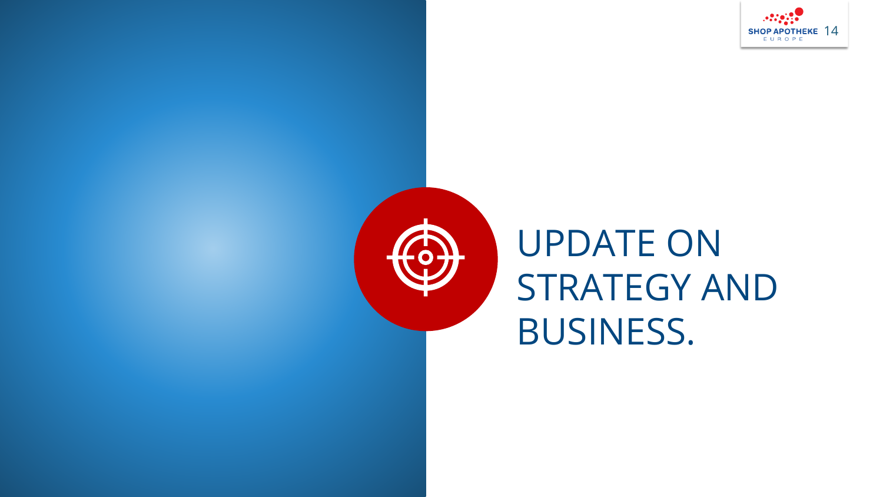



# UPDATE ON STRATEGY AND BUSINESS.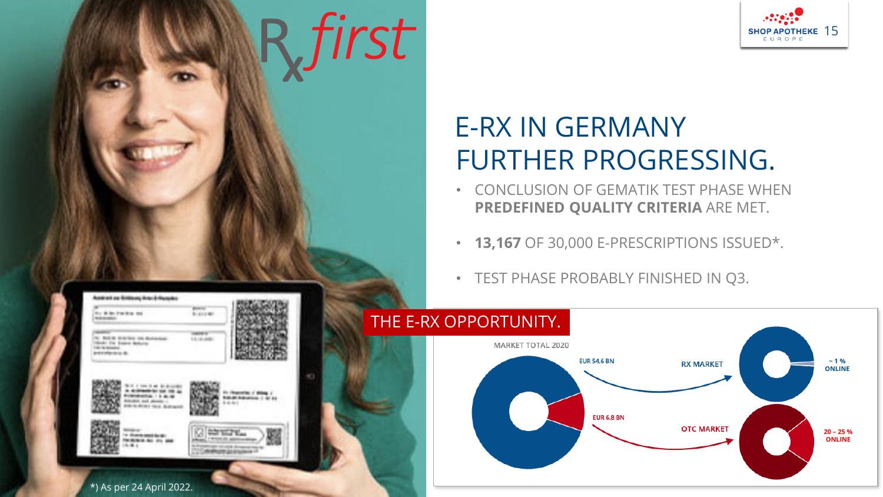

## E-RX IN GERMANY FURTHER PROGRESSING.

- CONCLUSION OF GEMATIK TEST PHASE WHEN **PREDEFINED QUALITY CRITERIA** ARE MET.
- **13,167** OF 30,000 E-PRESCRIPTIONS ISSUED\*.
- TEST PHASE PROBABLY FINISHED IN Q3.



#### **Automotive Sittings into A Russian** to drive tracks out **Load of the** N. And in driving car includes. LL/A AM **SOLI THE SUMMA MORATOR** *GEORGIA* **PERMITER** is an originate for the red and Ft (Roomfox of Wing of

![](_page_14_Picture_7.jpeg)

**CONTROL Base** *<i><u>RESISTATION IN ITS</u>* 

**NAVAL Automobile 1 of as** 

R first

\*) As per 24 April 2022.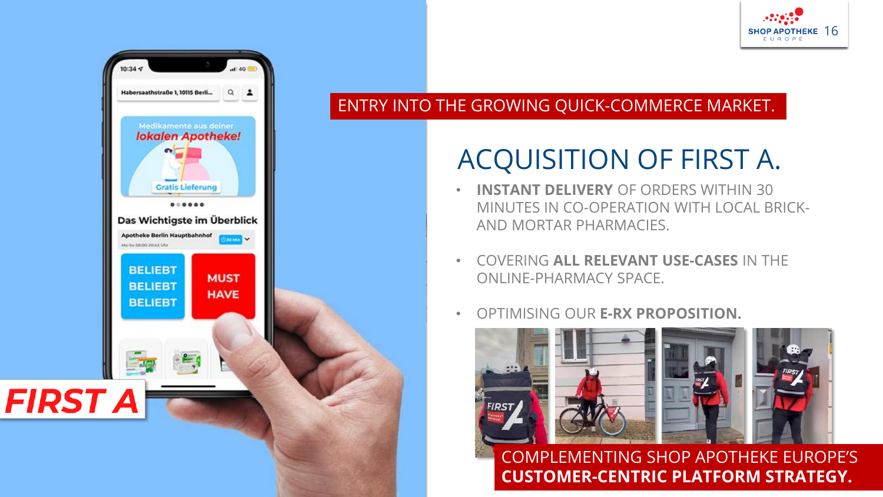![](_page_15_Picture_0.jpeg)

![](_page_15_Picture_1.jpeg)

#### ENTRY INTO THE GROWING QUICK-COMMERCE MARKET.

## ACQUISITION OF FIRST A.

- **INSTANT DELIVERY** OF ORDERS WITHIN 30 MINUTES IN CO-OPERATION WITH LOCAL BRICK-AND MORTAR PHARMACIES.
- COVERING **ALL RELEVANT USE-CASES** IN THE ONLINE-PHARMACY SPACE.
- OPTIMISING OUR **E-RX PROPOSITION.**

![](_page_15_Picture_7.jpeg)

COMPLEMENTING SHOP APOTHEKE EUROPE'S **CUSTOMER-CENTRIC PLATFORM STRATEGY.**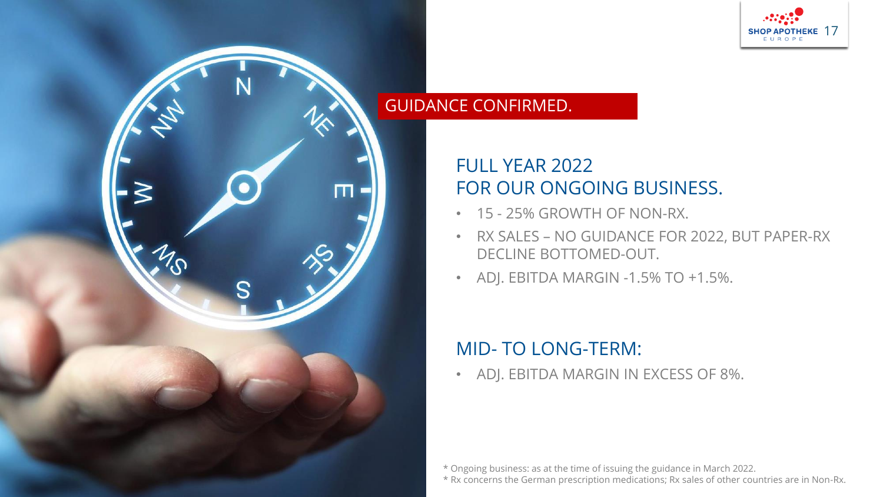![](_page_16_Picture_0.jpeg)

#### GUIDANCE CONFIRMED.

 $\blacksquare$ 

S

#### FULL YEAR 2022 FOR OUR ONGOING BUSINESS.

- 15 25% GROWTH OF NON-RX.
- RX SALES NO GUIDANCE FOR 2022, BUT PAPER-RX DECLINE BOTTOMED-OUT.
- ADJ. EBITDA MARGIN -1.5% TO +1.5%.

#### MID- TO LONG-TERM:

• ADJ. EBITDA MARGIN IN EXCESS OF 8%.

\* Ongoing business: as at the time of issuing the guidance in March 2022.

\* Rx concerns the German prescription medications; Rx sales of other countries are in Non-Rx.